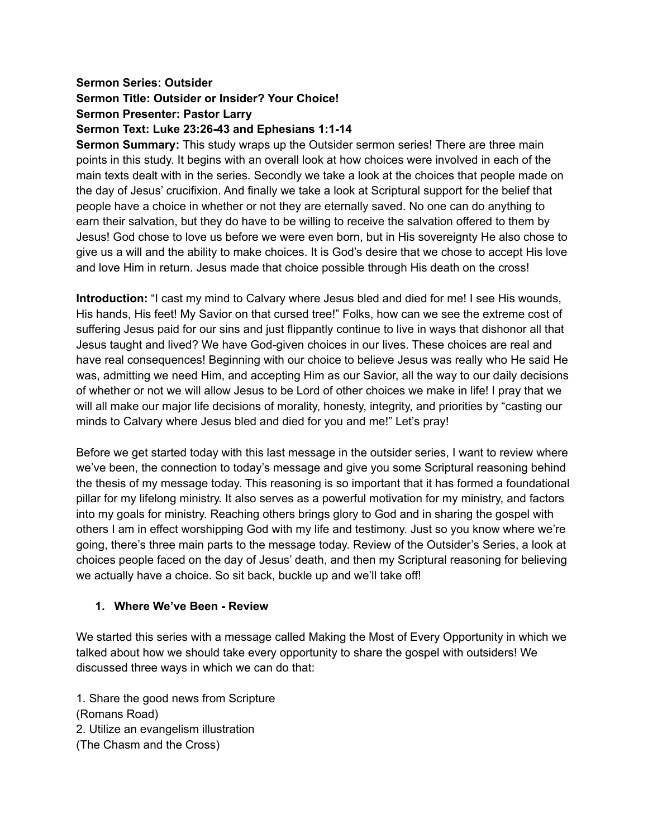## **Sermon Series: Outsider Sermon Title: Outsider or Insider? Your Choice! Sermon Presenter: Pastor Larry Sermon Text: Luke 23:26-43 and Ephesians 1:1-14**

**Sermon Summary:** This study wraps up the Outsider sermon series! There are three main points in this study. It begins with an overall look at how choices were involved in each of the main texts dealt with in the series. Secondly we take a look at the choices that people made on the day of Jesus' crucifixion. And finally we take a look at Scriptural support for the belief that people have a choice in whether or not they are eternally saved. No one can do anything to earn their salvation, but they do have to be willing to receive the salvation offered to them by Jesus! God chose to love us before we were even born, but in His sovereignty He also chose to give us a will and the ability to make choices. It is God's desire that we chose to accept His love and love Him in return. Jesus made that choice possible through His death on the cross!

**Introduction:** "I cast my mind to Calvary where Jesus bled and died for me! I see His wounds, His hands, His feet! My Savior on that cursed tree!" Folks, how can we see the extreme cost of suffering Jesus paid for our sins and just flippantly continue to live in ways that dishonor all that Jesus taught and lived? We have God-given choices in our lives. These choices are real and have real consequences! Beginning with our choice to believe Jesus was really who He said He was, admitting we need Him, and accepting Him as our Savior, all the way to our daily decisions of whether or not we will allow Jesus to be Lord of other choices we make in life! I pray that we will all make our major life decisions of morality, honesty, integrity, and priorities by "casting our minds to Calvary where Jesus bled and died for you and me!" Let's pray!

Before we get started today with this last message in the outsider series, I want to review where we've been, the connection to today's message and give you some Scriptural reasoning behind the thesis of my message today. This reasoning is so important that it has formed a foundational pillar for my lifelong ministry. It also serves as a powerful motivation for my ministry, and factors into my goals for ministry. Reaching others brings glory to God and in sharing the gospel with others I am in effect worshipping God with my life and testimony. Just so you know where we're going, there's three main parts to the message today. Review of the Outsider's Series, a look at choices people faced on the day of Jesus' death, and then my Scriptural reasoning for believing we actually have a choice. So sit back, buckle up and we'll take off!

## **1. Where We've Been - Review**

We started this series with a message called Making the Most of Every Opportunity in which we talked about how we should take every opportunity to share the gospel with outsiders! We discussed three ways in which we can do that:

1. Share the good news from Scripture (Romans Road) 2. Utilize an evangelism illustration (The Chasm and the Cross)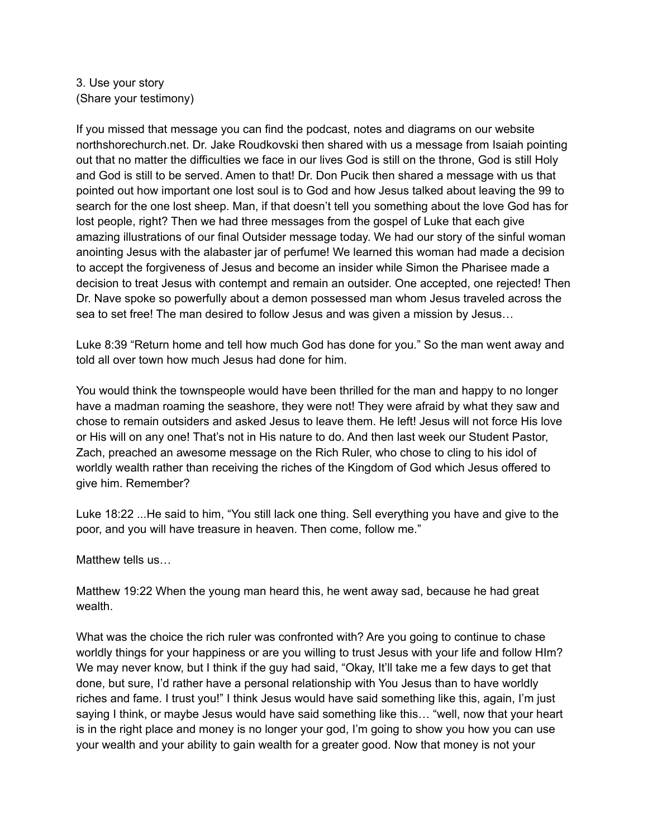3. Use your story (Share your testimony)

If you missed that message you can find the podcast, notes and diagrams on our website northshorechurch.net. Dr. Jake Roudkovski then shared with us a message from Isaiah pointing out that no matter the difficulties we face in our lives God is still on the throne, God is still Holy and God is still to be served. Amen to that! Dr. Don Pucik then shared a message with us that pointed out how important one lost soul is to God and how Jesus talked about leaving the 99 to search for the one lost sheep. Man, if that doesn't tell you something about the love God has for lost people, right? Then we had three messages from the gospel of Luke that each give amazing illustrations of our final Outsider message today. We had our story of the sinful woman anointing Jesus with the alabaster jar of perfume! We learned this woman had made a decision to accept the forgiveness of Jesus and become an insider while Simon the Pharisee made a decision to treat Jesus with contempt and remain an outsider. One accepted, one rejected! Then Dr. Nave spoke so powerfully about a demon possessed man whom Jesus traveled across the sea to set free! The man desired to follow Jesus and was given a mission by Jesus…

Luke 8:39 "Return home and tell how much God has done for you." So the man went away and told all over town how much Jesus had done for him.

You would think the townspeople would have been thrilled for the man and happy to no longer have a madman roaming the seashore, they were not! They were afraid by what they saw and chose to remain outsiders and asked Jesus to leave them. He left! Jesus will not force His love or His will on any one! That's not in His nature to do. And then last week our Student Pastor, Zach, preached an awesome message on the Rich Ruler, who chose to cling to his idol of worldly wealth rather than receiving the riches of the Kingdom of God which Jesus offered to give him. Remember?

Luke 18:22 ...He said to him, "You still lack one thing. Sell everything you have and give to the poor, and you will have treasure in heaven. Then come, follow me."

Matthew tells us…

Matthew 19:22 When the young man heard this, he went away sad, because he had great wealth.

What was the choice the rich ruler was confronted with? Are you going to continue to chase worldly things for your happiness or are you willing to trust Jesus with your life and follow HIm? We may never know, but I think if the guy had said, "Okay, It'll take me a few days to get that done, but sure, I'd rather have a personal relationship with You Jesus than to have worldly riches and fame. I trust you!" I think Jesus would have said something like this, again, I'm just saying I think, or maybe Jesus would have said something like this… "well, now that your heart is in the right place and money is no longer your god, I'm going to show you how you can use your wealth and your ability to gain wealth for a greater good. Now that money is not your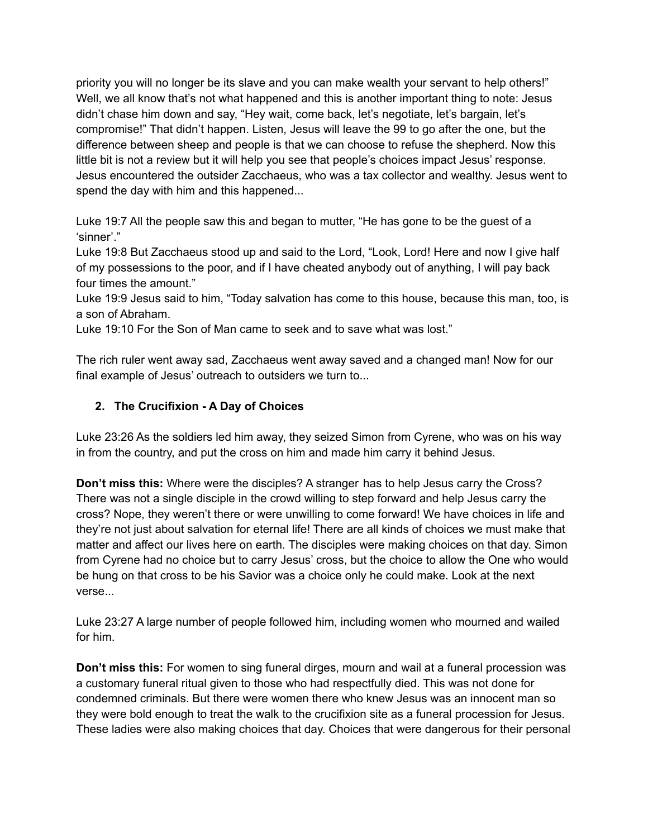priority you will no longer be its slave and you can make wealth your servant to help others!" Well, we all know that's not what happened and this is another important thing to note: Jesus didn't chase him down and say, "Hey wait, come back, let's negotiate, let's bargain, let's compromise!" That didn't happen. Listen, Jesus will leave the 99 to go after the one, but the difference between sheep and people is that we can choose to refuse the shepherd. Now this little bit is not a review but it will help you see that people's choices impact Jesus' response. Jesus encountered the outsider Zacchaeus, who was a tax collector and wealthy. Jesus went to spend the day with him and this happened...

Luke 19:7 All the people saw this and began to mutter, "He has gone to be the guest of a 'sinner'."

Luke 19:8 But Zacchaeus stood up and said to the Lord, "Look, Lord! Here and now I give half of my possessions to the poor, and if I have cheated anybody out of anything, I will pay back four times the amount."

Luke 19:9 Jesus said to him, "Today salvation has come to this house, because this man, too, is a son of Abraham.

Luke 19:10 For the Son of Man came to seek and to save what was lost."

The rich ruler went away sad, Zacchaeus went away saved and a changed man! Now for our final example of Jesus' outreach to outsiders we turn to...

## **2. The Crucifixion - A Day of Choices**

Luke 23:26 As the soldiers led him away, they seized Simon from Cyrene, who was on his way in from the country, and put the cross on him and made him carry it behind Jesus.

**Don't miss this:** Where were the disciples? A stranger has to help Jesus carry the Cross? There was not a single disciple in the crowd willing to step forward and help Jesus carry the cross? Nope, they weren't there or were unwilling to come forward! We have choices in life and they're not just about salvation for eternal life! There are all kinds of choices we must make that matter and affect our lives here on earth. The disciples were making choices on that day. Simon from Cyrene had no choice but to carry Jesus' cross, but the choice to allow the One who would be hung on that cross to be his Savior was a choice only he could make. Look at the next verse...

Luke 23:27 A large number of people followed him, including women who mourned and wailed for him.

**Don't miss this:** For women to sing funeral dirges, mourn and wail at a funeral procession was a customary funeral ritual given to those who had respectfully died. This was not done for condemned criminals. But there were women there who knew Jesus was an innocent man so they were bold enough to treat the walk to the crucifixion site as a funeral procession for Jesus. These ladies were also making choices that day. Choices that were dangerous for their personal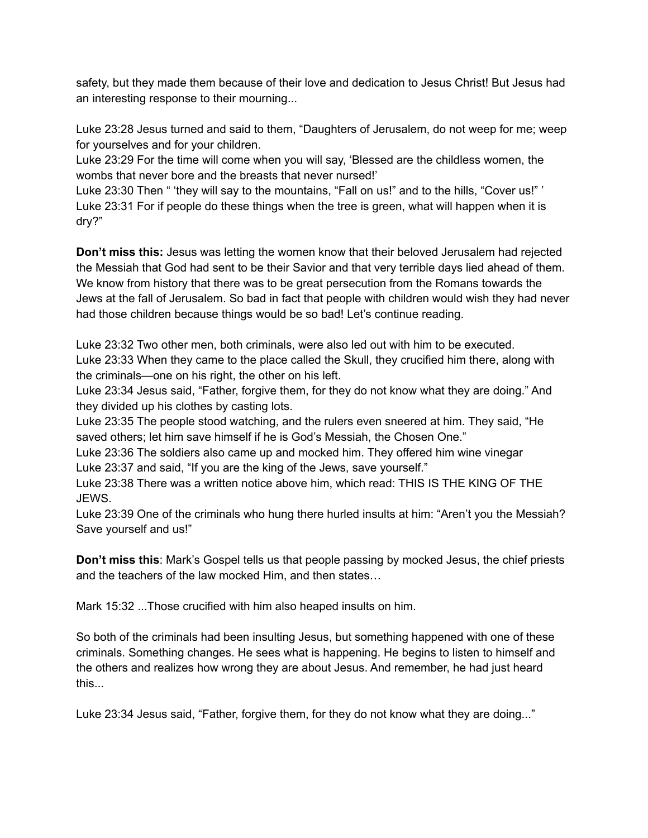safety, but they made them because of their love and dedication to Jesus Christ! But Jesus had an interesting response to their mourning...

Luke 23:28 Jesus turned and said to them, "Daughters of Jerusalem, do not weep for me; weep for yourselves and for your children.

Luke 23:29 For the time will come when you will say, 'Blessed are the childless women, the wombs that never bore and the breasts that never nursed!'

Luke 23:30 Then " 'they will say to the mountains, "Fall on us!" and to the hills, "Cover us!" ' Luke 23:31 For if people do these things when the tree is green, what will happen when it is dry?"

**Don't miss this:** Jesus was letting the women know that their beloved Jerusalem had rejected the Messiah that God had sent to be their Savior and that very terrible days lied ahead of them. We know from history that there was to be great persecution from the Romans towards the Jews at the fall of Jerusalem. So bad in fact that people with children would wish they had never had those children because things would be so bad! Let's continue reading.

Luke 23:32 Two other men, both criminals, were also led out with him to be executed. Luke 23:33 When they came to the place called the Skull, they crucified him there, along with the criminals—one on his right, the other on his left.

Luke 23:34 Jesus said, "Father, forgive them, for they do not know what they are doing." And they divided up his clothes by casting lots.

Luke 23:35 The people stood watching, and the rulers even sneered at him. They said, "He saved others; let him save himself if he is God's Messiah, the Chosen One."

Luke 23:36 The soldiers also came up and mocked him. They offered him wine vinegar Luke 23:37 and said, "If you are the king of the Jews, save yourself."

Luke 23:38 There was a written notice above him, which read: THIS IS THE KING OF THE JEWS.

Luke 23:39 One of the criminals who hung there hurled insults at him: "Aren't you the Messiah? Save yourself and us!"

**Don't miss this**: Mark's Gospel tells us that people passing by mocked Jesus, the chief priests and the teachers of the law mocked Him, and then states…

Mark 15:32 ...Those crucified with him also heaped insults on him.

So both of the criminals had been insulting Jesus, but something happened with one of these criminals. Something changes. He sees what is happening. He begins to listen to himself and the others and realizes how wrong they are about Jesus. And remember, he had just heard this...

Luke 23:34 Jesus said, "Father, forgive them, for they do not know what they are doing..."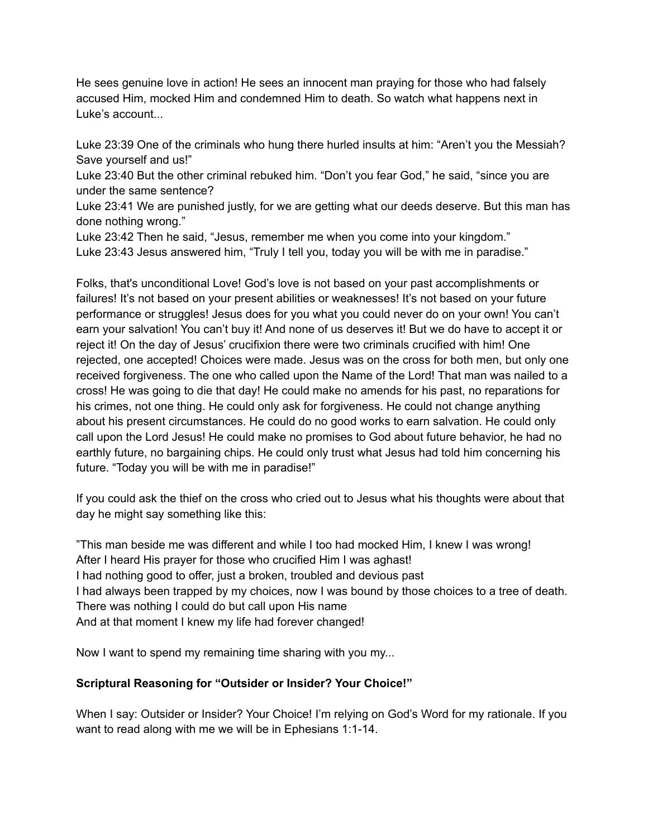He sees genuine love in action! He sees an innocent man praying for those who had falsely accused Him, mocked Him and condemned Him to death. So watch what happens next in Luke's account...

Luke 23:39 One of the criminals who hung there hurled insults at him: "Aren't you the Messiah? Save yourself and us!"

Luke 23:40 But the other criminal rebuked him. "Don't you fear God," he said, "since you are under the same sentence?

Luke 23:41 We are punished justly, for we are getting what our deeds deserve. But this man has done nothing wrong."

Luke 23:42 Then he said, "Jesus, remember me when you come into your kingdom." Luke 23:43 Jesus answered him, "Truly I tell you, today you will be with me in paradise."

Folks, that's unconditional Love! God's love is not based on your past accomplishments or failures! It's not based on your present abilities or weaknesses! It's not based on your future performance or struggles! Jesus does for you what you could never do on your own! You can't earn your salvation! You can't buy it! And none of us deserves it! But we do have to accept it or reject it! On the day of Jesus' crucifixion there were two criminals crucified with him! One rejected, one accepted! Choices were made. Jesus was on the cross for both men, but only one received forgiveness. The one who called upon the Name of the Lord! That man was nailed to a cross! He was going to die that day! He could make no amends for his past, no reparations for his crimes, not one thing. He could only ask for forgiveness. He could not change anything about his present circumstances. He could do no good works to earn salvation. He could only call upon the Lord Jesus! He could make no promises to God about future behavior, he had no earthly future, no bargaining chips. He could only trust what Jesus had told him concerning his future. "Today you will be with me in paradise!"

If you could ask the thief on the cross who cried out to Jesus what his thoughts were about that day he might say something like this:

"This man beside me was different and while I too had mocked Him, I knew I was wrong! After I heard His prayer for those who crucified Him I was aghast! I had nothing good to offer, just a broken, troubled and devious past I had always been trapped by my choices, now I was bound by those choices to a tree of death. There was nothing I could do but call upon His name And at that moment I knew my life had forever changed!

Now I want to spend my remaining time sharing with you my...

## **Scriptural Reasoning for "Outsider or Insider? Your Choice!"**

When I say: Outsider or Insider? Your Choice! I'm relying on God's Word for my rationale. If you want to read along with me we will be in Ephesians 1:1-14.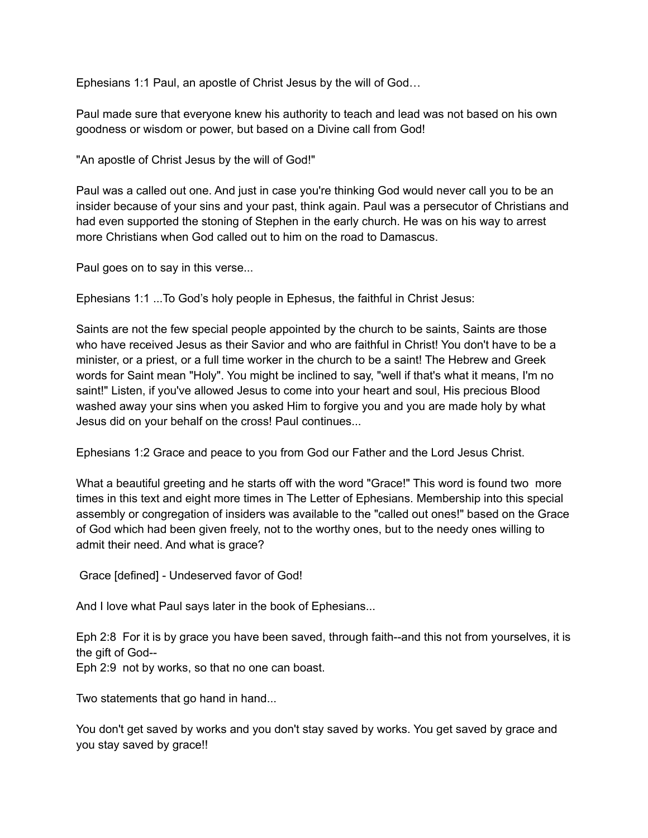Ephesians 1:1 Paul, an apostle of Christ Jesus by the will of God…

Paul made sure that everyone knew his authority to teach and lead was not based on his own goodness or wisdom or power, but based on a Divine call from God!

"An apostle of Christ Jesus by the will of God!"

Paul was a called out one. And just in case you're thinking God would never call you to be an insider because of your sins and your past, think again. Paul was a persecutor of Christians and had even supported the stoning of Stephen in the early church. He was on his way to arrest more Christians when God called out to him on the road to Damascus.

Paul goes on to say in this verse...

Ephesians 1:1 ...To God's holy people in Ephesus, the faithful in Christ Jesus:

Saints are not the few special people appointed by the church to be saints, Saints are those who have received Jesus as their Savior and who are faithful in Christ! You don't have to be a minister, or a priest, or a full time worker in the church to be a saint! The Hebrew and Greek words for Saint mean "Holy". You might be inclined to say, "well if that's what it means, I'm no saint!" Listen, if you've allowed Jesus to come into your heart and soul, His precious Blood washed away your sins when you asked Him to forgive you and you are made holy by what Jesus did on your behalf on the cross! Paul continues...

Ephesians 1:2 Grace and peace to you from God our Father and the Lord Jesus Christ.

What a beautiful greeting and he starts off with the word "Grace!" This word is found two more times in this text and eight more times in The Letter of Ephesians. Membership into this special assembly or congregation of insiders was available to the "called out ones!" based on the Grace of God which had been given freely, not to the worthy ones, but to the needy ones willing to admit their need. And what is grace?

Grace [defined] - Undeserved favor of God!

And I love what Paul says later in the book of Ephesians...

Eph 2:8 For it is by grace you have been saved, through faith--and this not from yourselves, it is the gift of God--

Eph 2:9 not by works, so that no one can boast.

Two statements that go hand in hand...

You don't get saved by works and you don't stay saved by works. You get saved by grace and you stay saved by grace!!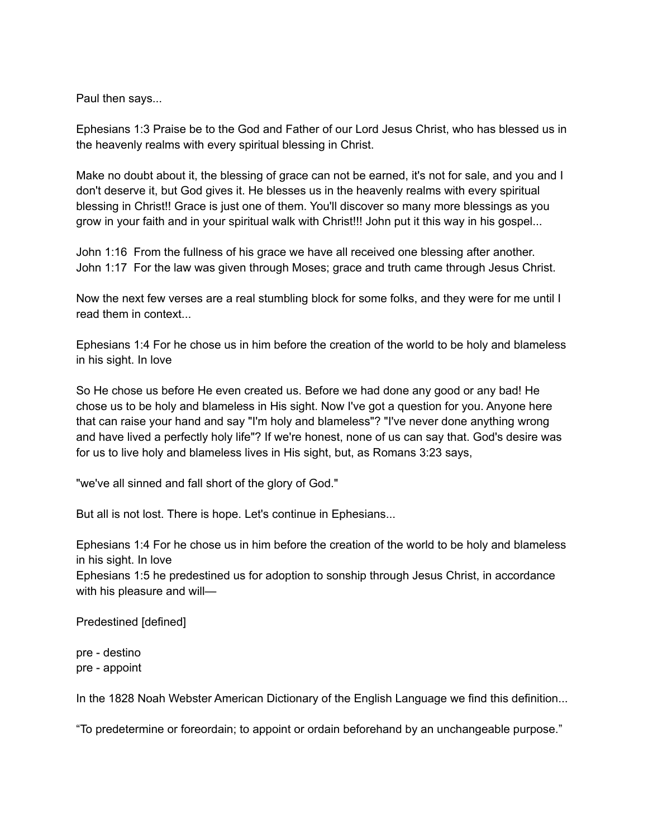Paul then says...

Ephesians 1:3 Praise be to the God and Father of our Lord Jesus Christ, who has blessed us in the heavenly realms with every spiritual blessing in Christ.

Make no doubt about it, the blessing of grace can not be earned, it's not for sale, and you and I don't deserve it, but God gives it. He blesses us in the heavenly realms with every spiritual blessing in Christ!! Grace is just one of them. You'll discover so many more blessings as you grow in your faith and in your spiritual walk with Christ!!! John put it this way in his gospel...

John 1:16 From the fullness of his grace we have all received one blessing after another. John 1:17 For the law was given through Moses; grace and truth came through Jesus Christ.

Now the next few verses are a real stumbling block for some folks, and they were for me until I read them in context...

Ephesians 1:4 For he chose us in him before the creation of the world to be holy and blameless in his sight. In love

So He chose us before He even created us. Before we had done any good or any bad! He chose us to be holy and blameless in His sight. Now I've got a question for you. Anyone here that can raise your hand and say "I'm holy and blameless"? "I've never done anything wrong and have lived a perfectly holy life"? If we're honest, none of us can say that. God's desire was for us to live holy and blameless lives in His sight, but, as Romans 3:23 says,

"we've all sinned and fall short of the glory of God."

But all is not lost. There is hope. Let's continue in Ephesians...

Ephesians 1:4 For he chose us in him before the creation of the world to be holy and blameless in his sight. In love

Ephesians 1:5 he predestined us for adoption to sonship through Jesus Christ, in accordance with his pleasure and will—

Predestined [defined]

pre - destino pre - appoint

In the 1828 Noah Webster American Dictionary of the English Language we find this definition...

"To predetermine or foreordain; to appoint or ordain beforehand by an unchangeable purpose."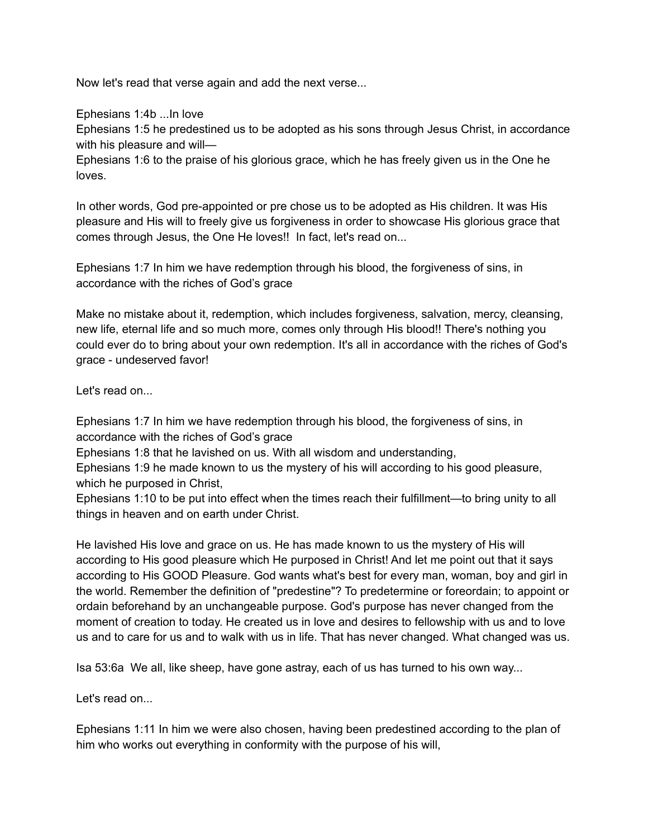Now let's read that verse again and add the next verse...

Ephesians 1:4b ...In love

Ephesians 1:5 he predestined us to be adopted as his sons through Jesus Christ, in accordance with his pleasure and will—

Ephesians 1:6 to the praise of his glorious grace, which he has freely given us in the One he loves.

In other words, God pre-appointed or pre chose us to be adopted as His children. It was His pleasure and His will to freely give us forgiveness in order to showcase His glorious grace that comes through Jesus, the One He loves!! In fact, let's read on...

Ephesians 1:7 In him we have redemption through his blood, the forgiveness of sins, in accordance with the riches of God's grace

Make no mistake about it, redemption, which includes forgiveness, salvation, mercy, cleansing, new life, eternal life and so much more, comes only through His blood!! There's nothing you could ever do to bring about your own redemption. It's all in accordance with the riches of God's grace - undeserved favor!

Let's read on...

Ephesians 1:7 In him we have redemption through his blood, the forgiveness of sins, in accordance with the riches of God's grace

Ephesians 1:8 that he lavished on us. With all wisdom and understanding,

Ephesians 1:9 he made known to us the mystery of his will according to his good pleasure, which he purposed in Christ,

Ephesians 1:10 to be put into effect when the times reach their fulfillment—to bring unity to all things in heaven and on earth under Christ.

He lavished His love and grace on us. He has made known to us the mystery of His will according to His good pleasure which He purposed in Christ! And let me point out that it says according to His GOOD Pleasure. God wants what's best for every man, woman, boy and girl in the world. Remember the definition of "predestine"? To predetermine or foreordain; to appoint or ordain beforehand by an unchangeable purpose. God's purpose has never changed from the moment of creation to today. He created us in love and desires to fellowship with us and to love us and to care for us and to walk with us in life. That has never changed. What changed was us.

Isa 53:6a We all, like sheep, have gone astray, each of us has turned to his own way...

Let's read on...

Ephesians 1:11 In him we were also chosen, having been predestined according to the plan of him who works out everything in conformity with the purpose of his will,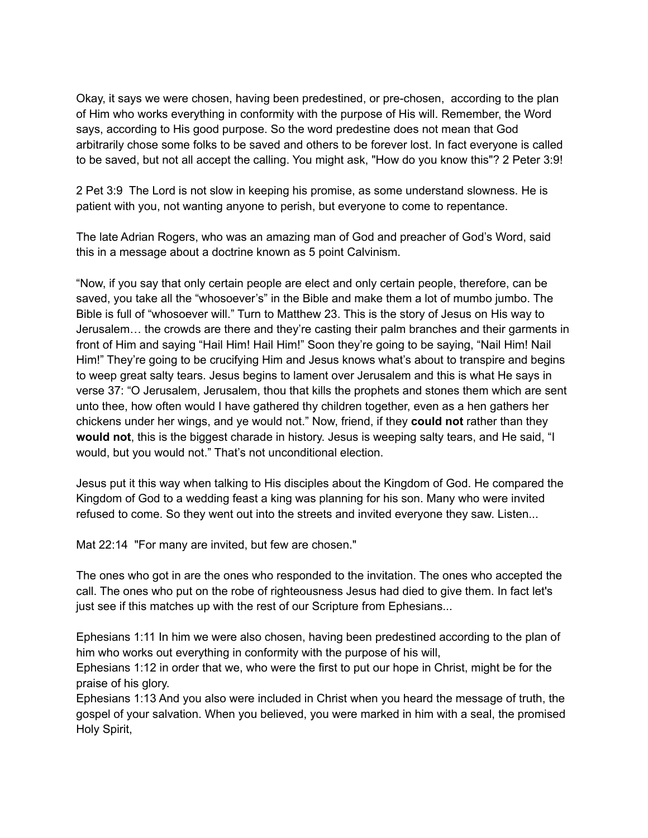Okay, it says we were chosen, having been predestined, or pre-chosen, according to the plan of Him who works everything in conformity with the purpose of His will. Remember, the Word says, according to His good purpose. So the word predestine does not mean that God arbitrarily chose some folks to be saved and others to be forever lost. In fact everyone is called to be saved, but not all accept the calling. You might ask, "How do you know this"? 2 Peter 3:9!

2 Pet 3:9 The Lord is not slow in keeping his promise, as some understand slowness. He is patient with you, not wanting anyone to perish, but everyone to come to repentance.

The late Adrian Rogers, who was an amazing man of God and preacher of God's Word, said this in a message about a doctrine known as 5 point Calvinism.

"Now, if you say that only certain people are elect and only certain people, therefore, can be saved, you take all the "whosoever's" in the Bible and make them a lot of mumbo jumbo. The Bible is full of "whosoever will." Turn to Matthew 23. This is the story of Jesus on His way to Jerusalem… the crowds are there and they're casting their palm branches and their garments in front of Him and saying "Hail Him! Hail Him!" Soon they're going to be saying, "Nail Him! Nail Him!" They're going to be crucifying Him and Jesus knows what's about to transpire and begins to weep great salty tears. Jesus begins to lament over Jerusalem and this is what He says in verse 37: "O Jerusalem, Jerusalem, thou that kills the prophets and stones them which are sent unto thee, how often would I have gathered thy children together, even as a hen gathers her chickens under her wings, and ye would not." Now, friend, if they **could not** rather than they **would not**, this is the biggest charade in history. Jesus is weeping salty tears, and He said, "I would, but you would not." That's not unconditional election.

Jesus put it this way when talking to His disciples about the Kingdom of God. He compared the Kingdom of God to a wedding feast a king was planning for his son. Many who were invited refused to come. So they went out into the streets and invited everyone they saw. Listen...

Mat 22:14 "For many are invited, but few are chosen."

The ones who got in are the ones who responded to the invitation. The ones who accepted the call. The ones who put on the robe of righteousness Jesus had died to give them. In fact let's just see if this matches up with the rest of our Scripture from Ephesians...

Ephesians 1:11 In him we were also chosen, having been predestined according to the plan of him who works out everything in conformity with the purpose of his will,

Ephesians 1:12 in order that we, who were the first to put our hope in Christ, might be for the praise of his glory.

Ephesians 1:13 And you also were included in Christ when you heard the message of truth, the gospel of your salvation. When you believed, you were marked in him with a seal, the promised Holy Spirit,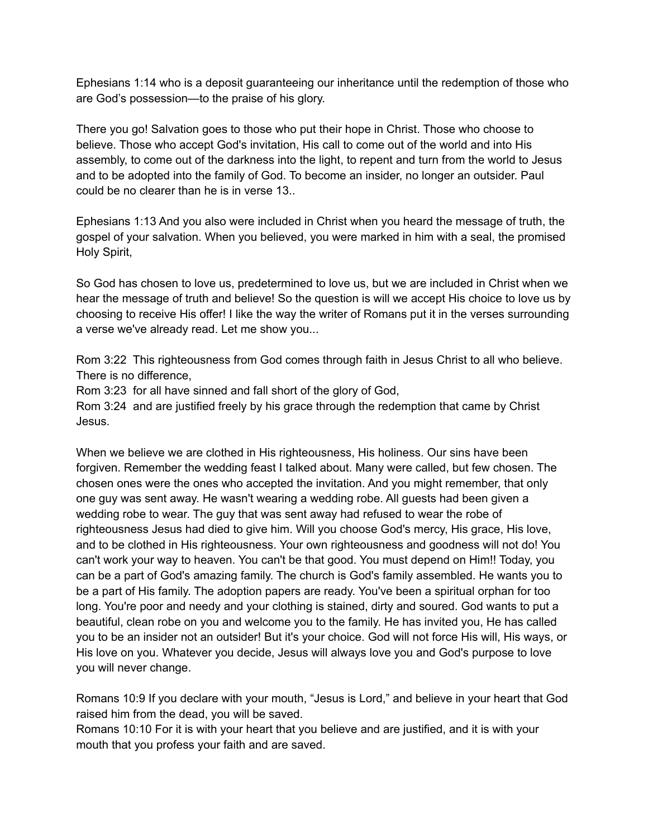Ephesians 1:14 who is a deposit guaranteeing our inheritance until the redemption of those who are God's possession—to the praise of his glory.

There you go! Salvation goes to those who put their hope in Christ. Those who choose to believe. Those who accept God's invitation, His call to come out of the world and into His assembly, to come out of the darkness into the light, to repent and turn from the world to Jesus and to be adopted into the family of God. To become an insider, no longer an outsider. Paul could be no clearer than he is in verse 13..

Ephesians 1:13 And you also were included in Christ when you heard the message of truth, the gospel of your salvation. When you believed, you were marked in him with a seal, the promised Holy Spirit,

So God has chosen to love us, predetermined to love us, but we are included in Christ when we hear the message of truth and believe! So the question is will we accept His choice to love us by choosing to receive His offer! I like the way the writer of Romans put it in the verses surrounding a verse we've already read. Let me show you...

Rom 3:22 This righteousness from God comes through faith in Jesus Christ to all who believe. There is no difference,

Rom 3:23 for all have sinned and fall short of the glory of God,

Rom 3:24 and are justified freely by his grace through the redemption that came by Christ Jesus.

When we believe we are clothed in His righteousness, His holiness. Our sins have been forgiven. Remember the wedding feast I talked about. Many were called, but few chosen. The chosen ones were the ones who accepted the invitation. And you might remember, that only one guy was sent away. He wasn't wearing a wedding robe. All guests had been given a wedding robe to wear. The guy that was sent away had refused to wear the robe of righteousness Jesus had died to give him. Will you choose God's mercy, His grace, His love, and to be clothed in His righteousness. Your own righteousness and goodness will not do! You can't work your way to heaven. You can't be that good. You must depend on Him!! Today, you can be a part of God's amazing family. The church is God's family assembled. He wants you to be a part of His family. The adoption papers are ready. You've been a spiritual orphan for too long. You're poor and needy and your clothing is stained, dirty and soured. God wants to put a beautiful, clean robe on you and welcome you to the family. He has invited you, He has called you to be an insider not an outsider! But it's your choice. God will not force His will, His ways, or His love on you. Whatever you decide, Jesus will always love you and God's purpose to love you will never change.

Romans 10:9 If you declare with your mouth, "Jesus is Lord," and believe in your heart that God raised him from the dead, you will be saved.

Romans 10:10 For it is with your heart that you believe and are justified, and it is with your mouth that you profess your faith and are saved.